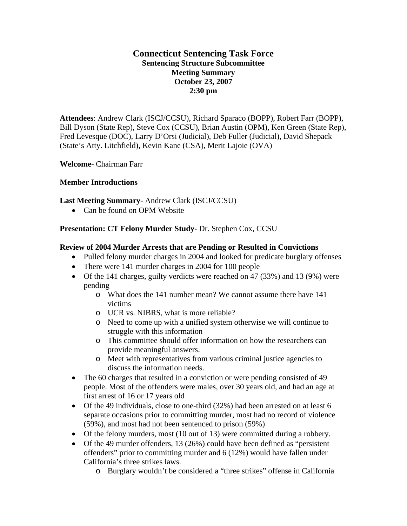# **Connecticut Sentencing Task Force Sentencing Structure Subcommittee Meeting Summary October 23, 2007 2:30 pm**

**Attendees**: Andrew Clark (ISCJ/CCSU), Richard Sparaco (BOPP), Robert Farr (BOPP), Bill Dyson (State Rep), Steve Cox (CCSU), Brian Austin (OPM), Ken Green (State Rep), Fred Levesque (DOC), Larry D'Orsi (Judicial), Deb Fuller (Judicial), David Shepack (State's Atty. Litchfield), Kevin Kane (CSA), Merit Lajoie (OVA)

**Welcome**- Chairman Farr

# **Member Introductions**

# **Last Meeting Summary**- Andrew Clark (ISCJ/CCSU)

• Can be found on OPM Website

# **Presentation: CT Felony Murder Study**- Dr. Stephen Cox, CCSU

# **Review of 2004 Murder Arrests that are Pending or Resulted in Convictions**

- Pulled felony murder charges in 2004 and looked for predicate burglary offenses
- There were 141 murder charges in 2004 for 100 people
- Of the 141 charges, guilty verdicts were reached on 47 (33%) and 13 (9%) were pending
	- o What does the 141 number mean? We cannot assume there have 141 victims
	- o UCR vs. NIBRS, what is more reliable?
	- o Need to come up with a unified system otherwise we will continue to struggle with this information
	- o This committee should offer information on how the researchers can provide meaningful answers.
	- o Meet with representatives from various criminal justice agencies to discuss the information needs.
- The 60 charges that resulted in a conviction or were pending consisted of 49 people. Most of the offenders were males, over 30 years old, and had an age at first arrest of 16 or 17 years old
- Of the 49 individuals, close to one-third (32%) had been arrested on at least 6 separate occasions prior to committing murder, most had no record of violence (59%), and most had not been sentenced to prison (59%)
- Of the felony murders, most (10 out of 13) were committed during a robbery.
- Of the 49 murder offenders, 13 (26%) could have been defined as "persistent" offenders" prior to committing murder and 6 (12%) would have fallen under California's three strikes laws.
	- o Burglary wouldn't be considered a "three strikes" offense in California